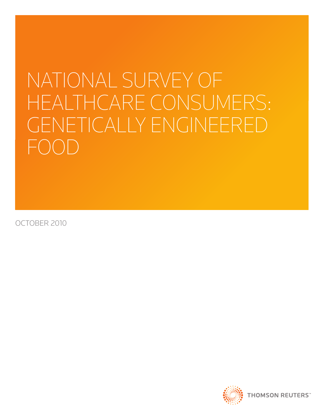# NATIONAL SURVEY OF HEALTHCARE CONSUMERS: GENETICALLY ENGINEERED  $F(\bigcirc)$

october 2010

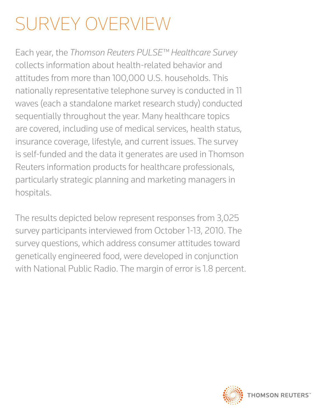## survey overview

Each year, the *Thomson Reuters PULSE™ Healthcare Survey* collects information about health-related behavior and attitudes from more than 100,000 U.S. households. This nationally representative telephone survey is conducted in 11 waves (each a standalone market research study) conducted sequentially throughout the year. Many healthcare topics are covered, including use of medical services, health status, insurance coverage, lifestyle, and current issues. The survey is self-funded and the data it generates are used in Thomson Reuters information products for healthcare professionals, particularly strategic planning and marketing managers in hospitals.

The results depicted below represent responses from 3,025 survey participants interviewed from October 1-13, 2010. The survey questions, which address consumer attitudes toward genetically engineered food, were developed in conjunction with National Public Radio. The margin of error is 1.8 percent.

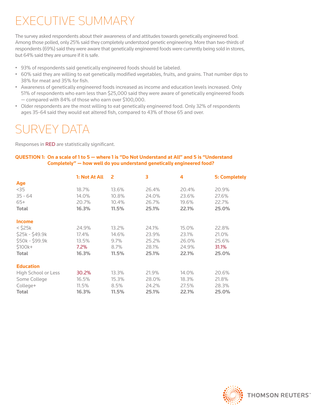## EXECUTIVE SUMMARY

The survey asked respondents about their awareness of and attitudes towards genetically engineered food. Among those polled, only 25% said they completely understood genetic engineering. More than two-thirds of respondents (69%) said they were aware that genetically engineered foods were currently being sold in stores, but 64% said they are unsure if it is safe.

- • 93% of respondents said genetically engineered foods should be labeled.
- • 60% said they are willing to eat genetically modified vegetables, fruits, and grains. That number dips to 38% for meat and 35% for fish.
- • Awareness of genetically engineered foods increased as income and education levels increased. Only 51% of respondents who earn less than \$25,000 said they were aware of genetically engineered foods — compared with 84% of those who earn over \$100,000.
- • Older respondents are the most willing to eat genetically engineered food. Only 32% of respondents ages 35-64 said they would eat altered fish, compared to 43% of those 65 and over.

### survey data

Responses in RED are statistically significant.

#### **QUESTION 1: On a scale of 1 to 5 — where 1 is "Do Not Understand at All" and 5 is "Understand Completely" — how well do you understand genetically engineered food?**

|                     | 1: Not At All | 2     | 3     | 4     | 5: Completely |
|---------------------|---------------|-------|-------|-------|---------------|
| Age                 |               |       |       |       |               |
| $35$                | 18.7%         | 13.6% | 26.4% | 20.4% | 20.9%         |
| $35 - 64$           | 14.0%         | 10.8% | 24.0% | 23.6% | 27.6%         |
| $65+$               | 20.7%         | 10.4% | 26.7% | 19.6% | 22.7%         |
| <b>Total</b>        | 16.3%         | 11.5% | 25.1% | 22.1% | 25.0%         |
| <b>Income</b>       |               |       |       |       |               |
| $<$ \$25 $k$        | 24.9%         | 13.2% | 24.1% | 15.0% | 22.8%         |
| \$25k - \$49.9k     | 17.4%         | 14.6% | 23.9% | 23.1% | 21.0%         |
| \$50k - \$99.9k     | 13.5%         | 9.7%  | 25.2% | 26.0% | 25.6%         |
| \$100k+             | 7.2%          | 8.7%  | 28.1% | 24.9% | 31.1%         |
| <b>Total</b>        | 16.3%         | 11.5% | 25.1% | 22.1% | 25.0%         |
| <b>Education</b>    |               |       |       |       |               |
| High School or Less | 30.2%         | 13.3% | 21.9% | 14.0% | 20.6%         |
| Some College        | 16.5%         | 15.3% | 28.0% | 18.3% | 21.8%         |
| College+            | 11.5%         | 8.5%  | 24.2% | 27.5% | 28.3%         |
| <b>Total</b>        | 16.3%         | 11.5% | 25.1% | 22.1% | 25.0%         |

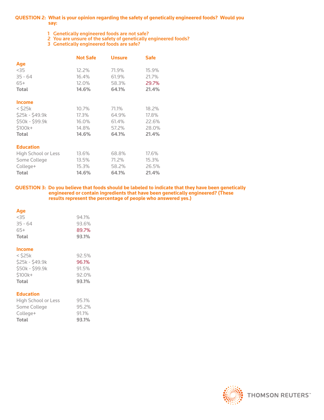#### **QUESTION 2: What is your opinion regarding the safety of genetically engineered foods? Would you say:**

- 1 Genetically engineered foods are not safe?
- 2 You are unsure of the safety of genetically engineered foods?
- 3 Genetically engineered foods are safe?

|                     | <b>Not Safe</b> | <b>Unsure</b> | <b>Safe</b> |
|---------------------|-----------------|---------------|-------------|
| Age                 |                 |               |             |
| $<$ 35              | 12.2%           | 71.9%         | 15.9%       |
| $35 - 64$           | 16.4%           | 61.9%         | 21.7%       |
| $65+$               | 12.0%           | 58.3%         | 29.7%       |
| <b>Total</b>        | 14.6%           | 64.1%         | 21.4%       |
| <b>Income</b>       |                 |               |             |
| $<$ S25 $k$         | 10.7%           | 71.1%         | 18.2%       |
| \$25k - \$49.9k     | 17.3%           | 64.9%         | 17.8%       |
| \$50k - \$99.9k     | 16.0%           | 61.4%         | 22.6%       |
| $$100k+$            | 14.8%           | 57.2%         | 28.0%       |
| <b>Total</b>        | 14.6%           | 64.1%         | 21.4%       |
| <b>Education</b>    |                 |               |             |
| High School or Less | 13.6%           | 68.8%         | 17.6%       |
| Some College        | 13.5%           | 71.2%         | 15.3%       |
| College+            | 15.3%           | 58.2%         | 26.5%       |
| <b>Total</b>        | 14.6%           | 64.1%         | 21.4%       |

#### **QUESTION 3: Do you believe that foods should be labeled to indicate that they have been genetically engineered or contain ingredients that have been genetically engineered? (These results represent the percentage of people who answered yes.)**

### **Age**

| 35<          | 94.1% |
|--------------|-------|
| $35 - 64$    | 93.6% |
| $65+$        | 89.7% |
| <b>Total</b> | 93.1% |

#### **Income**

| $<$ S25 $k$     | 92.5% |
|-----------------|-------|
| \$25k - \$49.9k | 96.1% |
| \$50k - \$99.9k | 91.5% |
| $$100k+$        | 92.0% |
| <b>Total</b>    | 93.1% |

#### **Education**

| High School or Less | 95.1%    |
|---------------------|----------|
| Some College        | 95.2%    |
| College+            | $91.1\%$ |
| Total               | 93.1%    |